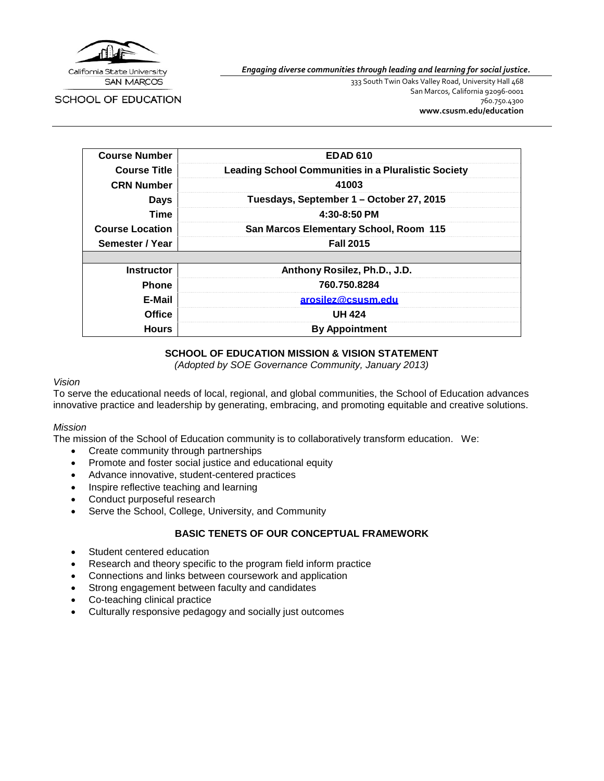

SCHOOL OF EDUCATION

*Engaging diverse communities through leading and learning for social justice.*

333 South Twin Oaks Valley Road, University Hall 468 San Marcos, California 92096-0001 760.750.4300 **[www.csusm.edu/education](http://www.csusm.edu/education)**

| <b>Course Number</b>   | EDAD 610                                                   |
|------------------------|------------------------------------------------------------|
| <b>Course Title</b>    | <b>Leading School Communities in a Pluralistic Society</b> |
| <b>CRN Number</b>      | 41003                                                      |
| <b>Days</b>            | Tuesdays, September 1 – October 27, 2015                   |
| Time                   | 4:30-8:50 PM                                               |
| <b>Course Location</b> | San Marcos Elementary School, Room 115                     |
| Semester / Year        | <b>Fall 2015</b>                                           |
|                        |                                                            |
| <b>Instructor</b>      | Anthony Rosilez, Ph.D., J.D.                               |
| <b>Phone</b>           | 760.750.8284                                               |
| E-Mail                 | arosilez@csusm.edu                                         |
| <b>Office</b>          | <b>UH 424</b>                                              |
| <b>Hours</b>           | <b>By Appointment</b>                                      |

# **SCHOOL OF EDUCATION MISSION & VISION STATEMENT**

*(Adopted by SOE Governance Community, January 2013)*

#### *Vision*

To serve the educational needs of local, regional, and global communities, the School of Education advances innovative practice and leadership by generating, embracing, and promoting equitable and creative solutions.

#### *Mission*

The mission of the School of Education community is to collaboratively transform education. We:

- Create community through partnerships
- Promote and foster social justice and educational equity
- Advance innovative, student-centered practices
- Inspire reflective teaching and learning
- Conduct purposeful research
- Serve the School, College, University, and Community

# **BASIC TENETS OF OUR CONCEPTUAL FRAMEWORK**

- Student centered education
- Research and theory specific to the program field inform practice
- Connections and links between coursework and application
- Strong engagement between faculty and candidates
- Co-teaching clinical practice
- Culturally responsive pedagogy and socially just outcomes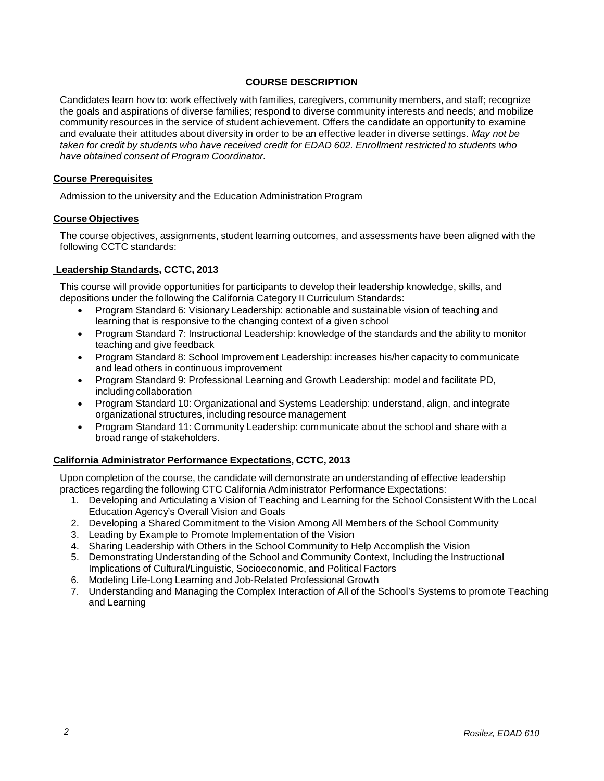#### **COURSE DESCRIPTION**

Candidates learn how to: work effectively with families, caregivers, community members, and staff; recognize the goals and aspirations of diverse families; respond to diverse community interests and needs; and mobilize community resources in the service of student achievement. Offers the candidate an opportunity to examine and evaluate their attitudes about diversity in order to be an effective leader in diverse settings. *May not be taken for credit by students who have received credit for EDAD 602. Enrollment restricted to students who have obtained consent of Program Coordinator.*

#### **Course Prerequisites**

Admission to the university and the Education Administration Program

#### **Course Objectives**

The course objectives, assignments, student learning outcomes, and assessments have been aligned with the following CCTC standards:

# **Leadership Standards, CCTC, 2013**

This course will provide opportunities for participants to develop their leadership knowledge, skills, and depositions under the following the California Category II Curriculum Standards:

- Program Standard 6: Visionary Leadership: actionable and sustainable vision of teaching and learning that is responsive to the changing context of a given school
- Program Standard 7: Instructional Leadership: knowledge of the standards and the ability to monitor teaching and give feedback
- Program Standard 8: School Improvement Leadership: increases his/her capacity to communicate and lead others in continuous improvement
- Program Standard 9: Professional Learning and Growth Leadership: model and facilitate PD, including collaboration
- Program Standard 10: Organizational and Systems Leadership: understand, align, and integrate organizational structures, including resource management
- Program Standard 11: Community Leadership: communicate about the school and share with a broad range of stakeholders.

# **California Administrator Performance Expectations, CCTC, 2013**

Upon completion of the course, the candidate will demonstrate an understanding of effective leadership practices regarding the following CTC California Administrator Performance Expectations:

- 1. Developing and Articulating a Vision of Teaching and Learning for the School Consistent With the Local Education Agency's Overall Vision and Goals
- 2. Developing a Shared Commitment to the Vision Among All Members of the School Community
- 3. Leading by Example to Promote Implementation of the Vision
- 4. Sharing Leadership with Others in the School Community to Help Accomplish the Vision
- 5. Demonstrating Understanding of the School and Community Context, Including the Instructional Implications of Cultural/Linguistic, Socioeconomic, and Political Factors
- 6. Modeling Life-Long Learning and Job-Related Professional Growth
- 7. Understanding and Managing the Complex Interaction of All of the School's Systems to promote Teaching and Learning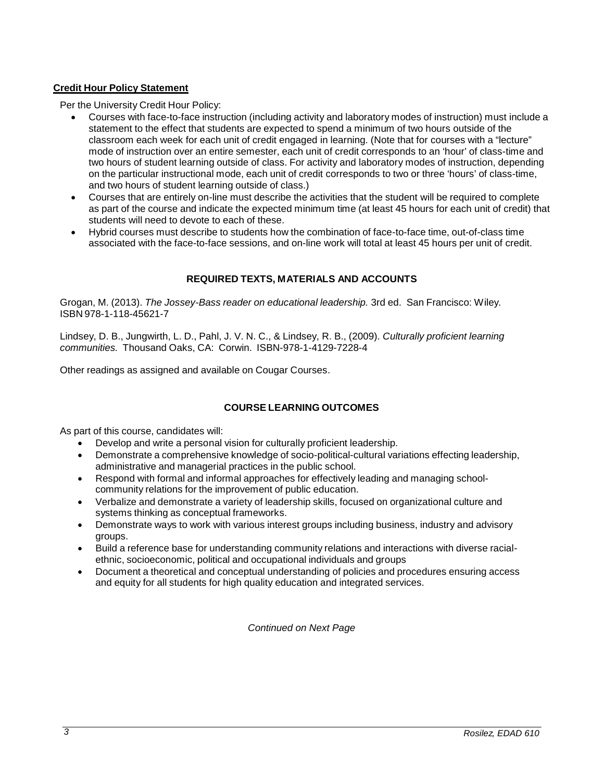#### **Credit Hour Policy Statement**

Per the University Credit Hour Policy:

- Courses with face-to-face instruction (including activity and laboratory modes of instruction) must include a statement to the effect that students are expected to spend a minimum of two hours outside of the classroom each week for each unit of credit engaged in learning. (Note that for courses with a "lecture" mode of instruction over an entire semester, each unit of credit corresponds to an 'hour' of class-time and two hours of student learning outside of class. For activity and laboratory modes of instruction, depending on the particular instructional mode, each unit of credit corresponds to two or three 'hours' of class-time, and two hours of student learning outside of class.)
- Courses that are entirely on-line must describe the activities that the student will be required to complete as part of the course and indicate the expected minimum time (at least 45 hours for each unit of credit) that students will need to devote to each of these.
- Hybrid courses must describe to students how the combination of face-to-face time, out-of-class time associated with the face-to-face sessions, and on-line work will total at least 45 hours per unit of credit.

# **REQUIRED TEXTS, MATERIALS AND ACCOUNTS**

Grogan, M. (2013). *The Jossey-Bass reader on educational leadership.* 3rd ed. San Francisco: Wiley. ISBN 978-1-118-45621-7

Lindsey, D. B., Jungwirth, L. D., Pahl, J. V. N. C., & Lindsey, R. B., (2009). *Culturally proficient learning communities.* Thousand Oaks, CA: Corwin. ISBN-978-1-4129-7228-4

Other readings as assigned and available on Cougar Courses.

# **COURSE LEARNING OUTCOMES**

As part of this course, candidates will:

- Develop and write a personal vision for culturally proficient leadership.
- Demonstrate a comprehensive knowledge of socio-political-cultural variations effecting leadership, administrative and managerial practices in the public school.
- Respond with formal and informal approaches for effectively leading and managing schoolcommunity relations for the improvement of public education.
- Verbalize and demonstrate a variety of leadership skills, focused on organizational culture and systems thinking as conceptual frameworks.
- Demonstrate ways to work with various interest groups including business, industry and advisory groups.
- Build a reference base for understanding community relations and interactions with diverse racialethnic, socioeconomic, political and occupational individuals and groups
- Document a theoretical and conceptual understanding of policies and procedures ensuring access and equity for all students for high quality education and integrated services.

*Continued on Next Page*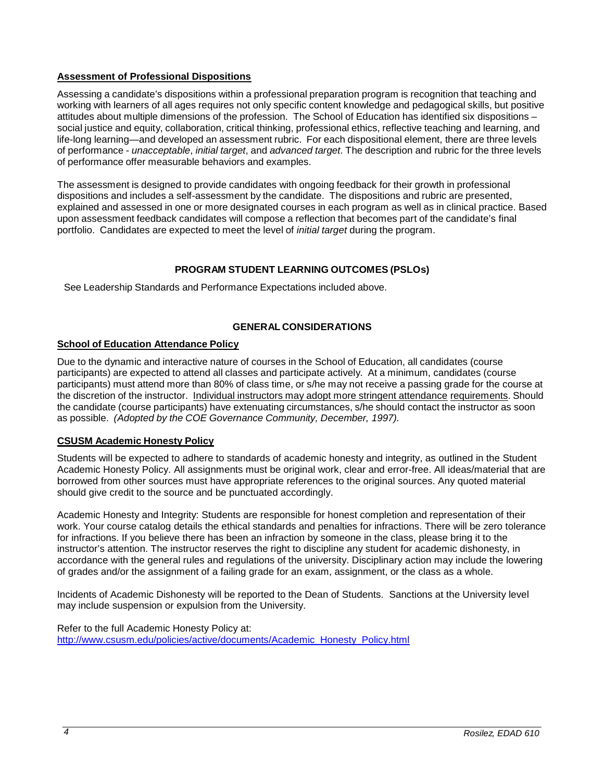# **Assessment of Professional Dispositions**

Assessing a candidate's dispositions within a professional preparation program is recognition that teaching and working with learners of all ages requires not only specific content knowledge and pedagogical skills, but positive attitudes about multiple dimensions of the profession. The School of Education has identified six dispositions – social justice and equity, collaboration, critical thinking, professional ethics, reflective teaching and learning, and life-long learning—and developed an assessment rubric. For each dispositional element, there are three levels of performance - *unacceptable*, *initial target*, and *advanced target*. The description and rubric for the three levels of performance offer measurable behaviors and examples.

The assessment is designed to provide candidates with ongoing feedback for their growth in professional dispositions and includes a self-assessment by the candidate. The dispositions and rubric are presented, explained and assessed in one or more designated courses in each program as well as in clinical practice. Based upon assessment feedback candidates will compose a reflection that becomes part of the candidate's final portfolio. Candidates are expected to meet the level of *initial target* during the program.

# **PROGRAM STUDENT LEARNING OUTCOMES (PSLOs)**

See Leadership Standards and Performance Expectations included above.

# **GENERAL CONSIDERATIONS**

# **School of Education Attendance Policy**

Due to the dynamic and interactive nature of courses in the School of Education, all candidates (course participants) are expected to attend all classes and participate actively. At a minimum, candidates (course participants) must attend more than 80% of class time, or s/he may not receive a passing grade for the course at the discretion of the instructor. Individual instructors may adopt more stringent attendance requirements. Should the candidate (course participants) have extenuating circumstances, s/he should contact the instructor as soon as possible. *(Adopted by the COE Governance Community, December, 1997).*

# **CSUSM Academic Honesty Policy**

Students will be expected to adhere to standards of academic honesty and integrity, as outlined in the Student Academic Honesty Policy. All assignments must be original work, clear and error-free. All ideas/material that are borrowed from other sources must have appropriate references to the original sources. Any quoted material should give credit to the source and be punctuated accordingly.

Academic Honesty and Integrity: Students are responsible for honest completion and representation of their work. Your course catalog details the ethical standards and penalties for infractions. There will be zero tolerance for infractions. If you believe there has been an infraction by someone in the class, please bring it to the instructor's attention. The instructor reserves the right to discipline any student for academic dishonesty, in accordance with the general rules and regulations of the university. Disciplinary action may include the lowering of grades and/or the assignment of a failing grade for an exam, assignment, or the class as a whole.

Incidents of Academic Dishonesty will be reported to the Dean of Students. Sanctions at the University level may include suspension or expulsion from the University.

Refer to the full Academic Honesty Policy at: [http://www.csusm.edu/policies/active/documents/Academic\\_Honesty\\_Policy.html](http://www.csusm.edu/policies/active/documents/Academic_Honesty_Policy.html)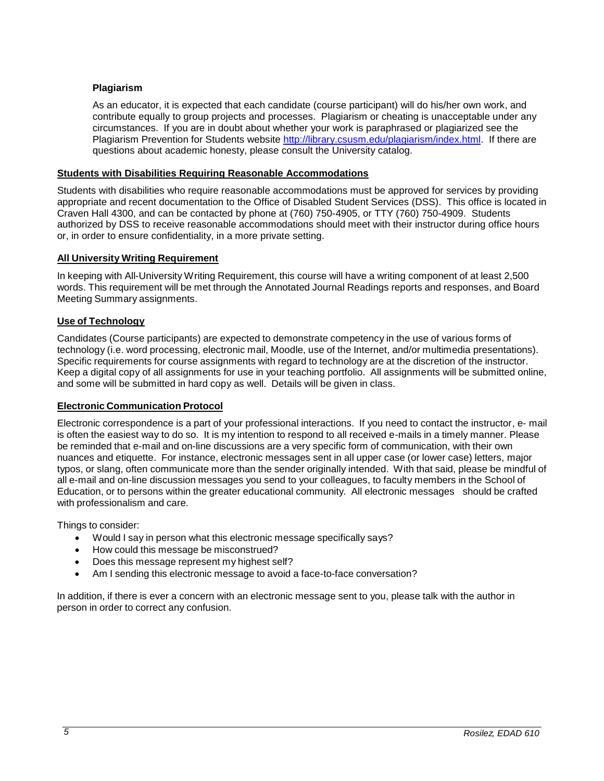# **Plagiarism**

As an educator, it is expected that each candidate (course participant) will do his/her own work, and contribute equally to group projects and processes. Plagiarism or cheating is unacceptable under any circumstances. If you are in doubt about whether your work is paraphrased or plagiarized see the Plagiarism Prevention for Students website [http://library.csusm.edu/plagiarism/index.html.](http://library.csusm.edu/plagiarism/index.html) If there are questions about academic honesty, please consult the University catalog.

#### **Students with Disabilities Requiring Reasonable Accommodations**

Students with disabilities who require reasonable accommodations must be approved for services by providing appropriate and recent documentation to the Office of Disabled Student Services (DSS). This office is located in Craven Hall 4300, and can be contacted by phone at (760) 750-4905, or TTY (760) 750-4909. Students authorized by DSS to receive reasonable accommodations should meet with their instructor during office hours or, in order to ensure confidentiality, in a more private setting.

#### **All University Writing Requirement**

In keeping with All-University Writing Requirement, this course will have a writing component of at least 2,500 words. This requirement will be met through the Annotated Journal Readings reports and responses, and Board Meeting Summary assignments.

#### **Use of Technology**

Candidates (Course participants) are expected to demonstrate competency in the use of various forms of technology (i.e. word processing, electronic mail, Moodle, use of the Internet, and/or multimedia presentations). Specific requirements for course assignments with regard to technology are at the discretion of the instructor. Keep a digital copy of all assignments for use in your teaching portfolio. All assignments will be submitted online, and some will be submitted in hard copy as well. Details will be given in class.

#### **Electronic Communication Protocol**

Electronic correspondence is a part of your professional interactions. If you need to contact the instructor, e- mail is often the easiest way to do so. It is my intention to respond to all received e-mails in a timely manner. Please be reminded that e-mail and on-line discussions are a very specific form of communication, with their own nuances and etiquette. For instance, electronic messages sent in all upper case (or lower case) letters, major typos, or slang, often communicate more than the sender originally intended. With that said, please be mindful of all e-mail and on-line discussion messages you send to your colleagues, to faculty members in the School of Education, or to persons within the greater educational community. All electronic messages should be crafted with professionalism and care.

Things to consider:

- Would I say in person what this electronic message specifically says?
- How could this message be misconstrued?
- Does this message represent my highest self?
- Am I sending this electronic message to avoid a face-to-face conversation?

In addition, if there is ever a concern with an electronic message sent to you, please talk with the author in person in order to correct any confusion.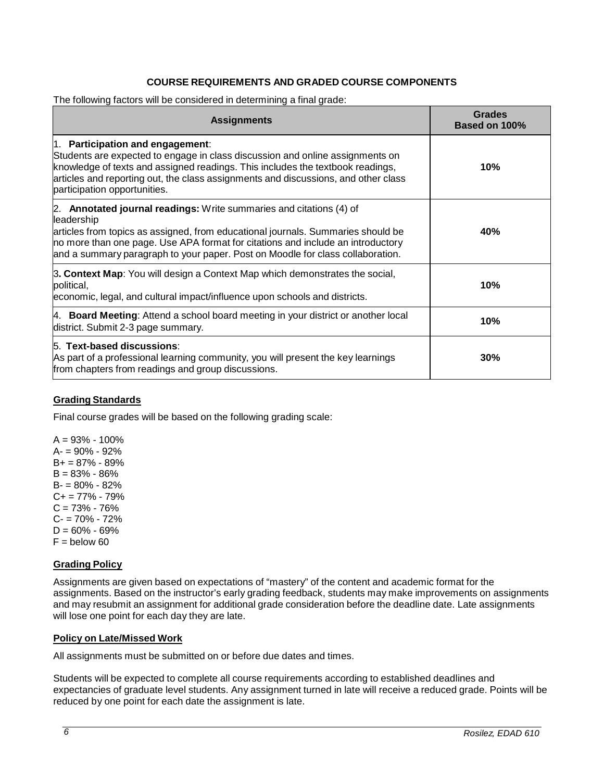# **COURSE REQUIREMENTS AND GRADED COURSE COMPONENTS**

The following factors will be considered in determining a final grade:

| <b>Assignments</b>                                                                                                                                                                                                                                                                                                                         | <b>Grades</b><br><b>Based on 100%</b> |
|--------------------------------------------------------------------------------------------------------------------------------------------------------------------------------------------------------------------------------------------------------------------------------------------------------------------------------------------|---------------------------------------|
| 1. Participation and engagement:<br>Students are expected to engage in class discussion and online assignments on<br>knowledge of texts and assigned readings. This includes the textbook readings,<br>articles and reporting out, the class assignments and discussions, and other class<br>participation opportunities.                  | 10%                                   |
| 2. Annotated journal readings: Write summaries and citations (4) of<br>leadership<br>articles from topics as assigned, from educational journals. Summaries should be<br>no more than one page. Use APA format for citations and include an introductory<br>and a summary paragraph to your paper. Post on Moodle for class collaboration. | 40%                                   |
| 3. Context Map: You will design a Context Map which demonstrates the social,<br>political,<br>economic, legal, and cultural impact/influence upon schools and districts.                                                                                                                                                                   | 10%                                   |
| 4. Board Meeting: Attend a school board meeting in your district or another local<br>district. Submit 2-3 page summary.                                                                                                                                                                                                                    | 10%                                   |
| 5. Text-based discussions:<br>As part of a professional learning community, you will present the key learnings<br>from chapters from readings and group discussions.                                                                                                                                                                       | 30%                                   |

#### **Grading Standards**

Final course grades will be based on the following grading scale:

 $A = 93\% - 100\%$ A- = 90% - 92% B+ = 87% - 89%  $B = 83\% - 86\%$ B- = 80% - 82%  $C+= 77\% - 79\%$  $C = 73\% - 76\%$ C- = 70% - 72%  $D = 60\% - 69\%$  $F =$  below 60

#### **Grading Policy**

Assignments are given based on expectations of "mastery" of the content and academic format for the assignments. Based on the instructor's early grading feedback, students may make improvements on assignments and may resubmit an assignment for additional grade consideration before the deadline date. Late assignments will lose one point for each day they are late.

#### **Policy on Late/Missed Work**

All assignments must be submitted on or before due dates and times.

Students will be expected to complete all course requirements according to established deadlines and expectancies of graduate level students. Any assignment turned in late will receive a reduced grade. Points will be reduced by one point for each date the assignment is late.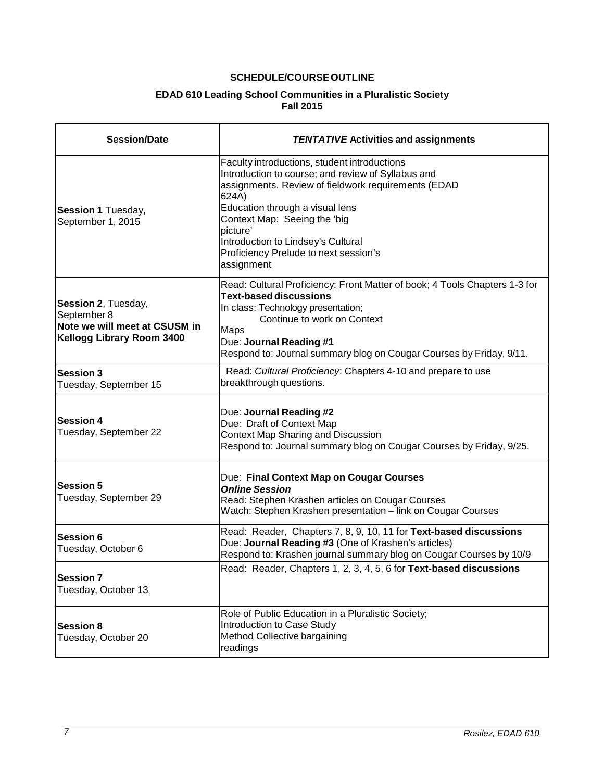# **SCHEDULE/COURSEOUTLINE**

#### **EDAD 610 Leading School Communities in a Pluralistic Society Fall 2015**

| <b>Session/Date</b>                                                                              | <b>TENTATIVE Activities and assignments</b>                                                                                                                                                                                                                                                                                                    |
|--------------------------------------------------------------------------------------------------|------------------------------------------------------------------------------------------------------------------------------------------------------------------------------------------------------------------------------------------------------------------------------------------------------------------------------------------------|
| Session 1 Tuesday,<br>September 1, 2015                                                          | Faculty introductions, student introductions<br>Introduction to course; and review of Syllabus and<br>assignments. Review of fieldwork requirements (EDAD<br>624A)<br>Education through a visual lens<br>Context Map: Seeing the 'big<br>picture'<br>Introduction to Lindsey's Cultural<br>Proficiency Prelude to next session's<br>assignment |
| Session 2, Tuesday,<br>September 8<br>Note we will meet at CSUSM in<br>Kellogg Library Room 3400 | Read: Cultural Proficiency: Front Matter of book; 4 Tools Chapters 1-3 for<br><b>Text-based discussions</b><br>In class: Technology presentation;<br>Continue to work on Context<br><b>Maps</b><br>Due: Journal Reading #1<br>Respond to: Journal summary blog on Cougar Courses by Friday, 9/11.                                              |
| <b>Session 3</b><br>Tuesday, September 15                                                        | Read: Cultural Proficiency: Chapters 4-10 and prepare to use<br>breakthrough questions.                                                                                                                                                                                                                                                        |
| <b>Session 4</b><br>Tuesday, September 22                                                        | Due: Journal Reading #2<br>Due: Draft of Context Map<br>Context Map Sharing and Discussion<br>Respond to: Journal summary blog on Cougar Courses by Friday, 9/25.                                                                                                                                                                              |
| <b>Session 5</b><br>Tuesday, September 29                                                        | Due: Final Context Map on Cougar Courses<br><b>Online Session</b><br>Read: Stephen Krashen articles on Cougar Courses<br>Watch: Stephen Krashen presentation - link on Cougar Courses                                                                                                                                                          |
| <b>Session 6</b><br>Tuesday, October 6                                                           | Read: Reader, Chapters 7, 8, 9, 10, 11 for Text-based discussions<br>Due: Journal Reading #3 (One of Krashen's articles)<br>Respond to: Krashen journal summary blog on Cougar Courses by 10/9                                                                                                                                                 |
| <b>Session 7</b><br>Tuesday, October 13                                                          | Read: Reader, Chapters 1, 2, 3, 4, 5, 6 for Text-based discussions                                                                                                                                                                                                                                                                             |
| <b>Session 8</b><br>Tuesday, October 20                                                          | Role of Public Education in a Pluralistic Society;<br>Introduction to Case Study<br>Method Collective bargaining<br>readings                                                                                                                                                                                                                   |